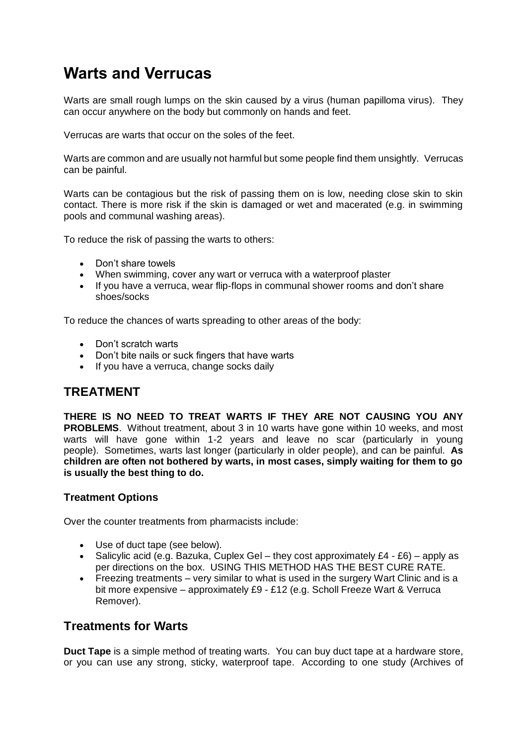## **Warts and Verrucas**

Warts are small rough lumps on the skin caused by a virus (human papilloma virus). They can occur anywhere on the body but commonly on hands and feet.

Verrucas are warts that occur on the soles of the feet.

Warts are common and are usually not harmful but some people find them unsightly. Verrucas can be painful.

Warts can be contagious but the risk of passing them on is low, needing close skin to skin contact. There is more risk if the skin is damaged or wet and macerated (e.g. in swimming pools and communal washing areas).

To reduce the risk of passing the warts to others:

- Don't share towels
- When swimming, cover any wart or verruca with a waterproof plaster
- If you have a verruca, wear flip-flops in communal shower rooms and don't share shoes/socks

To reduce the chances of warts spreading to other areas of the body:

- Don't scratch warts
- Don't bite nails or suck fingers that have warts
- If you have a verruca, change socks daily

## **TREATMENT**

**THERE IS NO NEED TO TREAT WARTS IF THEY ARE NOT CAUSING YOU ANY PROBLEMS**. Without treatment, about 3 in 10 warts have gone within 10 weeks, and most warts will have gone within 1-2 years and leave no scar (particularly in young people). Sometimes, warts last longer (particularly in older people), and can be painful. **As children are often not bothered by warts, in most cases, simply waiting for them to go is usually the best thing to do.**

## **Treatment Options**

Over the counter treatments from pharmacists include:

- Use of duct tape (see below).
- Salicylic acid (e.g. Bazuka, Cuplex Gel they cost approximately  $£4 £6$ ) apply as per directions on the box. USING THIS METHOD HAS THE BEST CURE RATE.
- Freezing treatments very similar to what is used in the surgery Wart Clinic and is a bit more expensive – approximately £9 - £12 (e.g. Scholl Freeze Wart & Verruca Remover).

## **Treatments for Warts**

**Duct Tape** is a simple method of treating warts. You can buy duct tape at a hardware store, or you can use any strong, sticky, waterproof tape. According to one study (Archives of